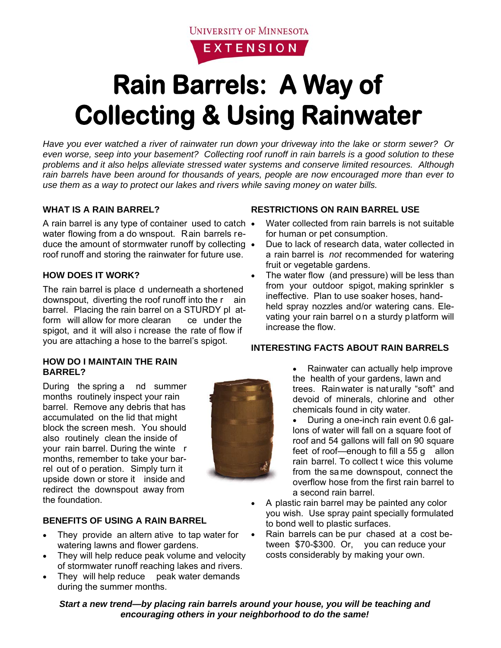

# **Rain Barrels: A Way of Collecting & Using Rainwater**

*Have you ever watched a river of rainwater run down your driveway into the lake or storm sewer? Or even worse, seep into your basement? Collecting roof runoff in rain barrels is a good solution to these problems and it also helps alleviate stressed water systems and conserve limited resources. Although rain barrels have been around for thousands of years, people are now encouraged more than ever to use them as a way to protect our lakes and rivers while saving money on water bills.* 

### **WHAT IS A RAIN BARREL?**

A rain barrel is any type of container used to catch • water flowing from a do wnspout. Rain barrels reduce the amount of stormwater runoff by collecting roof runoff and storing the rainwater for future use.

#### **HOW DOES IT WORK?**

The rain barrel is place d underneath a shortened downspout, diverting the roof runoff into the r ain barrel. Placing the rain barrel on a STURDY pl atform will allow for more clearan ce under the spigot, and it will also i ncrease the rate of flow if you are attaching a hose to the barrel's spigot.

#### **HOW DO I MAINTAIN THE RAIN BARREL?**

During the spring a nd summer months routinely inspect your rain barrel. Remove any debris that has accumulated on the lid that might block the screen mesh. You should also routinely clean the inside of your rain barrel. During the winte r months, remember to take your barrel out of o peration. Simply turn it upside down or store it inside and redirect the downspout away from the foundation.

#### **BENEFITS OF USING A RAIN BARREL**

- They provide an altern ative to tap water for watering lawns and flower gardens.
- They will help reduce peak volume and velocity of stormwater runoff reaching lakes and rivers.
- They will help reduce peak water demands during the summer months.

## **RESTRICTIONS ON RAIN BARREL USE**

- Water collected from rain barrels is not suitable for human or pet consumption.
- Due to lack of research data, water collected in a rain barrel is *not* recommended for watering fruit or vegetable gardens.
- The water flow (and pressure) will be less than from your outdoor spigot, making sprinkler s ineffective. Plan to use soaker hoses, handheld spray nozzles and/or watering cans. Elevating your rain barrel o n a sturdy platform will increase the flow.

## **INTERESTING FACTS ABOUT RAIN BARRELS**

• Rainwater can actually help improve the health of your gardens, lawn and trees. Rainwater is naturally "soft" and devoid of minerals, chlorine and other chemicals found in city water.

• During a one-inch rain event 0.6 gallons of water will fall on a square foot of roof and 54 gallons will fall on 90 square feet of roof—enough to fill a 55 g allon rain barrel. To collect t wice this volume from the sa me downspout, connect the overflow hose from the first rain barrel to a second rain barrel.

- A plastic rain barrel may be painted any color you wish. Use spray paint specially formulated to bond well to plastic surfaces.
- Rain barrels can be pur chased at a cost between \$70-\$300. Or, you can reduce your costs considerably by making your own.

*Start a new trend—by placing rain barrels around your house, you will be teaching and encouraging others in your neighborhood to do the same!*